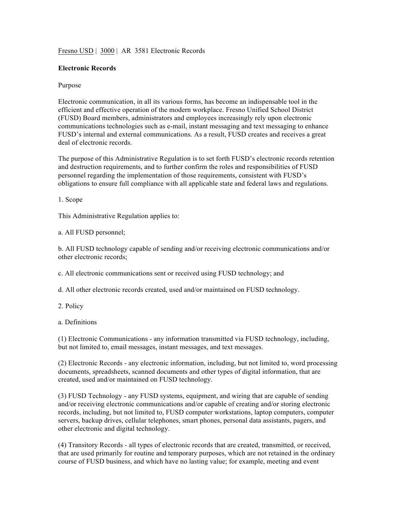## Fresno USD | 3000 | AR 3581 Electronic Records

## **Electronic Records**

## Purpose

Electronic communication, in all its various forms, has become an indispensable tool in the efficient and effective operation of the modern workplace. Fresno Unified School District (FUSD) Board members, administrators and employees increasingly rely upon electronic communications technologies such as e-mail, instant messaging and text messaging to enhance FUSD's internal and external communications. As a result, FUSD creates and receives a great deal of electronic records.

The purpose of this Administrative Regulation is to set forth FUSD's electronic records retention and destruction requirements, and to further confirm the roles and responsibilities of FUSD personnel regarding the implementation of those requirements, consistent with FUSD's obligations to ensure full compliance with all applicable state and federal laws and regulations.

1. Scope

This Administrative Regulation applies to:

a. All FUSD personnel;

b. All FUSD technology capable of sending and/or receiving electronic communications and/or other electronic records;

c. All electronic communications sent or received using FUSD technology; and

d. All other electronic records created, used and/or maintained on FUSD technology.

2. Policy

a. Definitions

(1) Electronic Communications - any information transmitted via FUSD technology, including, but not limited to, email messages, instant messages, and text messages.

(2) Electronic Records - any electronic information, including, but not limited to, word processing documents, spreadsheets, scanned documents and other types of digital information, that are created, used and/or maintained on FUSD technology.

(3) FUSD Technology - any FUSD systems, equipment, and wiring that are capable of sending and/or receiving electronic communications and/or capable of creating and/or storing electronic records, including, but not limited to, FUSD computer workstations, laptop computers, computer servers, backup drives, cellular telephones, smart phones, personal data assistants, pagers, and other electronic and digital technology.

(4) Transitory Records - all types of electronic records that are created, transmitted, or received, that are used primarily for routine and temporary purposes, which are not retained in the ordinary course of FUSD business, and which have no lasting value; for example, meeting and event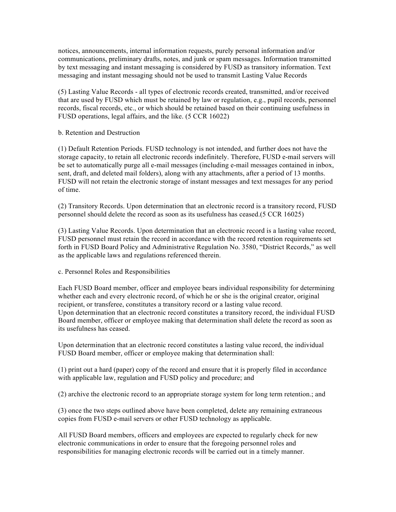notices, announcements, internal information requests, purely personal information and/or communications, preliminary drafts, notes, and junk or spam messages. Information transmitted by text messaging and instant messaging is considered by FUSD as transitory information. Text messaging and instant messaging should not be used to transmit Lasting Value Records

(5) Lasting Value Records - all types of electronic records created, transmitted, and/or received that are used by FUSD which must be retained by law or regulation, e.g., pupil records, personnel records, fiscal records, etc., or which should be retained based on their continuing usefulness in FUSD operations, legal affairs, and the like. (5 CCR 16022)

## b. Retention and Destruction

(1) Default Retention Periods. FUSD technology is not intended, and further does not have the storage capacity, to retain all electronic records indefinitely. Therefore, FUSD e-mail servers will be set to automatically purge all e-mail messages (including e-mail messages contained in inbox, sent, draft, and deleted mail folders), along with any attachments, after a period of 13 months. FUSD will not retain the electronic storage of instant messages and text messages for any period of time.

(2) Transitory Records. Upon determination that an electronic record is a transitory record, FUSD personnel should delete the record as soon as its usefulness has ceased.(5 CCR 16025)

(3) Lasting Value Records. Upon determination that an electronic record is a lasting value record, FUSD personnel must retain the record in accordance with the record retention requirements set forth in FUSD Board Policy and Administrative Regulation No. 3580, "District Records," as well as the applicable laws and regulations referenced therein.

c. Personnel Roles and Responsibilities

Each FUSD Board member, officer and employee bears individual responsibility for determining whether each and every electronic record, of which he or she is the original creator, original recipient, or transferee, constitutes a transitory record or a lasting value record. Upon determination that an electronic record constitutes a transitory record, the individual FUSD Board member, officer or employee making that determination shall delete the record as soon as its usefulness has ceased.

Upon determination that an electronic record constitutes a lasting value record, the individual FUSD Board member, officer or employee making that determination shall:

(1) print out a hard (paper) copy of the record and ensure that it is properly filed in accordance with applicable law, regulation and FUSD policy and procedure; and

(2) archive the electronic record to an appropriate storage system for long term retention.; and

(3) once the two steps outlined above have been completed, delete any remaining extraneous copies from FUSD e-mail servers or other FUSD technology as applicable.

All FUSD Board members, officers and employees are expected to regularly check for new electronic communications in order to ensure that the foregoing personnel roles and responsibilities for managing electronic records will be carried out in a timely manner.